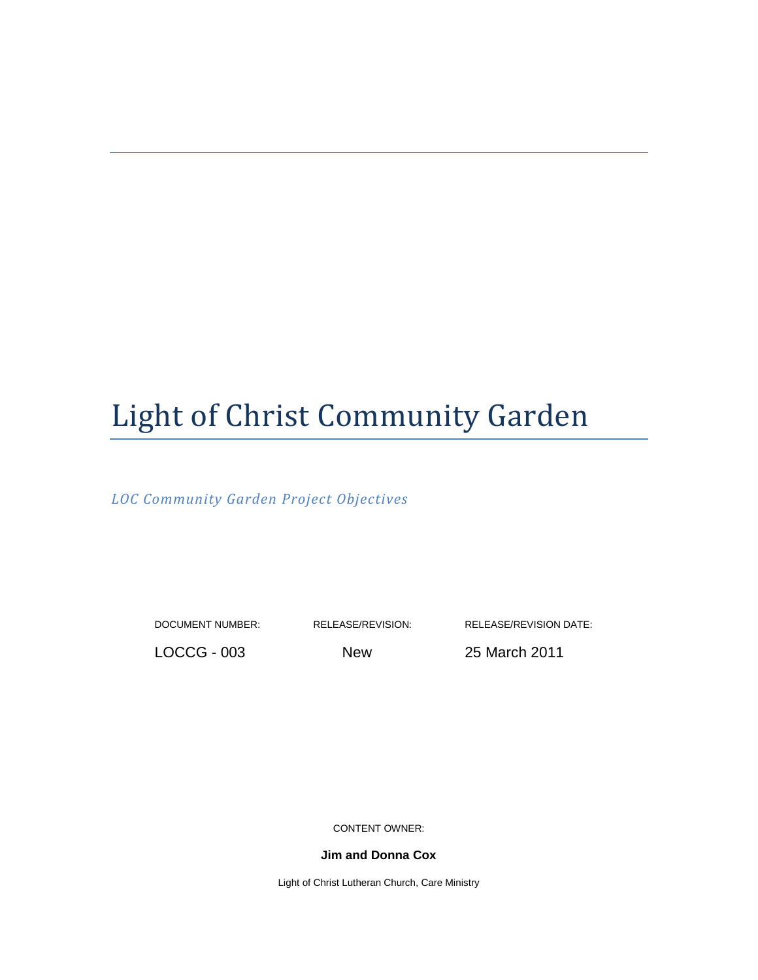# Light of Christ Community Garden

*LOC Community Garden Project Objectives*

DOCUMENT NUMBER: RELEASE/REVISION: RELEASE/REVISION DATE:

LOCCG - 003 New 25 March 2011

CONTENT OWNER:

**Jim and Donna Cox**

Light of Christ Lutheran Church, Care Ministry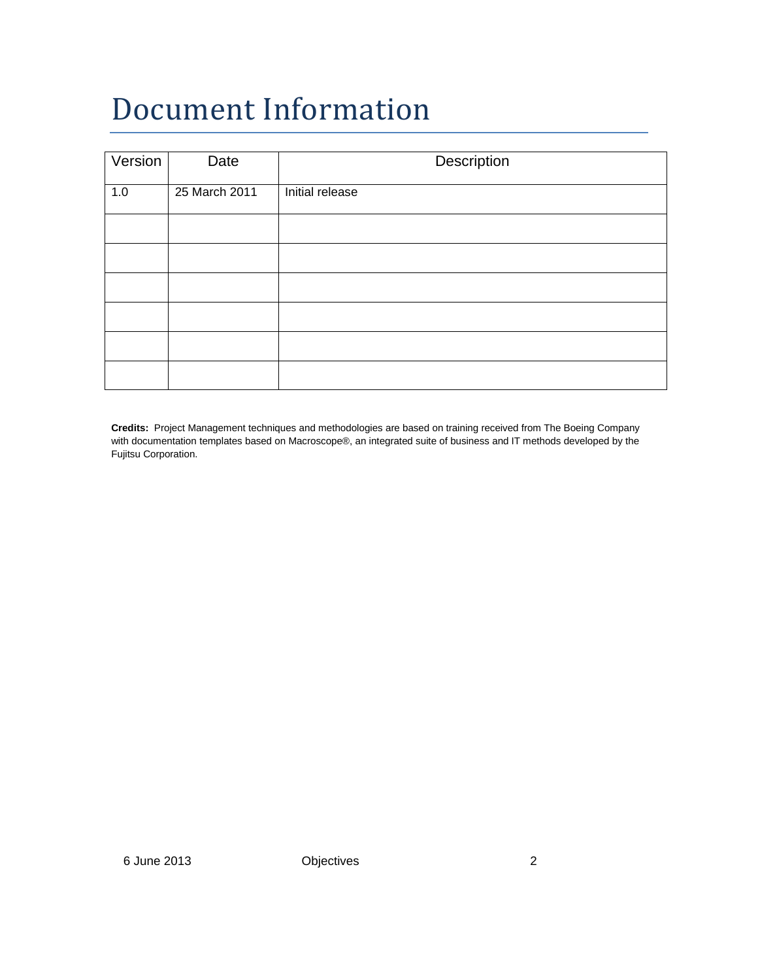# Document Information

| Version | Date          | Description     |
|---------|---------------|-----------------|
| 1.0     | 25 March 2011 | Initial release |
|         |               |                 |
|         |               |                 |
|         |               |                 |
|         |               |                 |
|         |               |                 |
|         |               |                 |

**Credits:** Project Management techniques and methodologies are based on training received from The Boeing Company with documentation templates based on Macroscope®, an integrated suite of business and IT methods developed by the Fujitsu Corporation.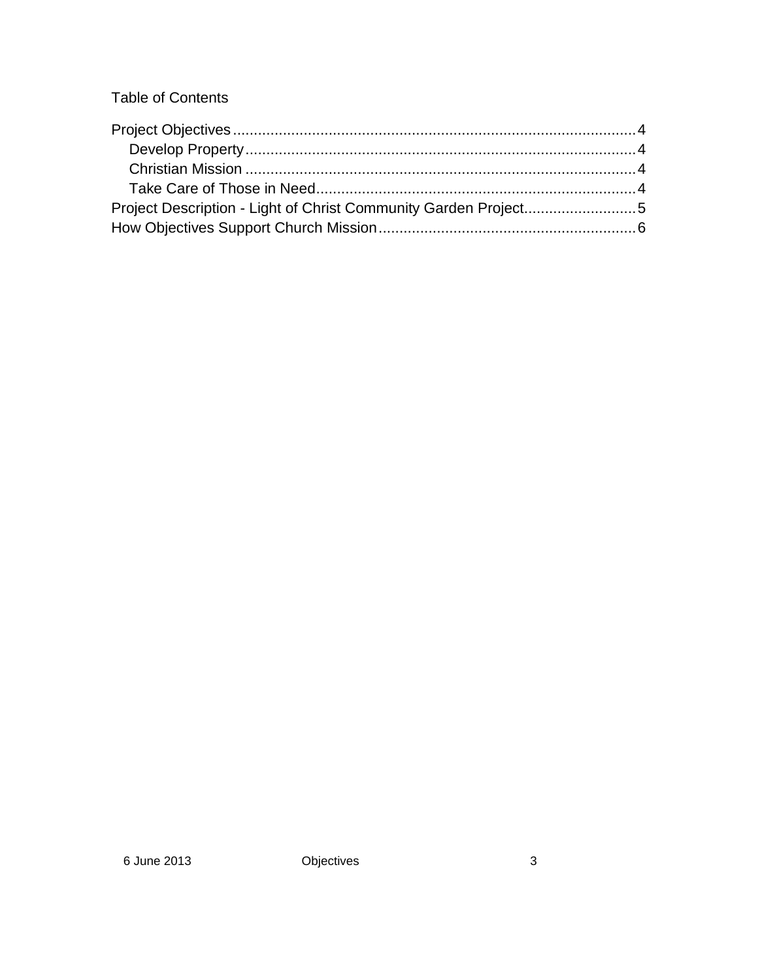Table of Contents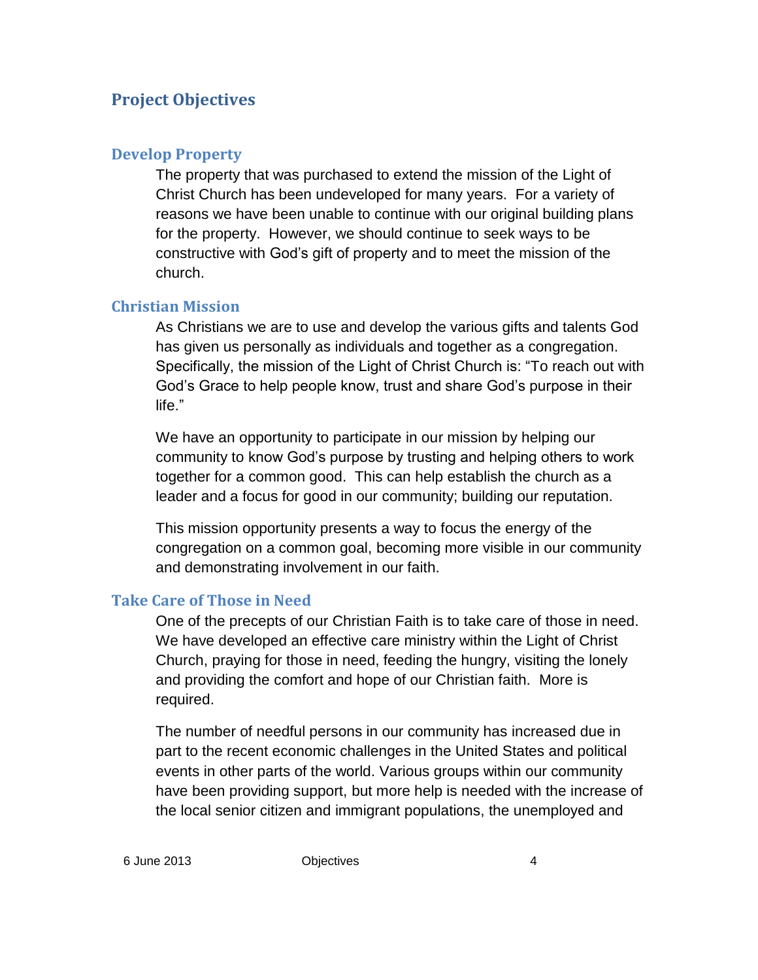### **Project Objectives**

#### **Develop Property**

The property that was purchased to extend the mission of the Light of Christ Church has been undeveloped for many years. For a variety of reasons we have been unable to continue with our original building plans for the property. However, we should continue to seek ways to be constructive with God's gift of property and to meet the mission of the church.

#### **Christian Mission**

As Christians we are to use and develop the various gifts and talents God has given us personally as individuals and together as a congregation. Specifically, the mission of the Light of Christ Church is: "To reach out with God's Grace to help people know, trust and share God's purpose in their life."

We have an opportunity to participate in our mission by helping our community to know God's purpose by trusting and helping others to work together for a common good. This can help establish the church as a leader and a focus for good in our community; building our reputation.

This mission opportunity presents a way to focus the energy of the congregation on a common goal, becoming more visible in our community and demonstrating involvement in our faith.

#### **Take Care of Those in Need**

One of the precepts of our Christian Faith is to take care of those in need. We have developed an effective care ministry within the Light of Christ Church, praying for those in need, feeding the hungry, visiting the lonely and providing the comfort and hope of our Christian faith. More is required.

The number of needful persons in our community has increased due in part to the recent economic challenges in the United States and political events in other parts of the world. Various groups within our community have been providing support, but more help is needed with the increase of the local senior citizen and immigrant populations, the unemployed and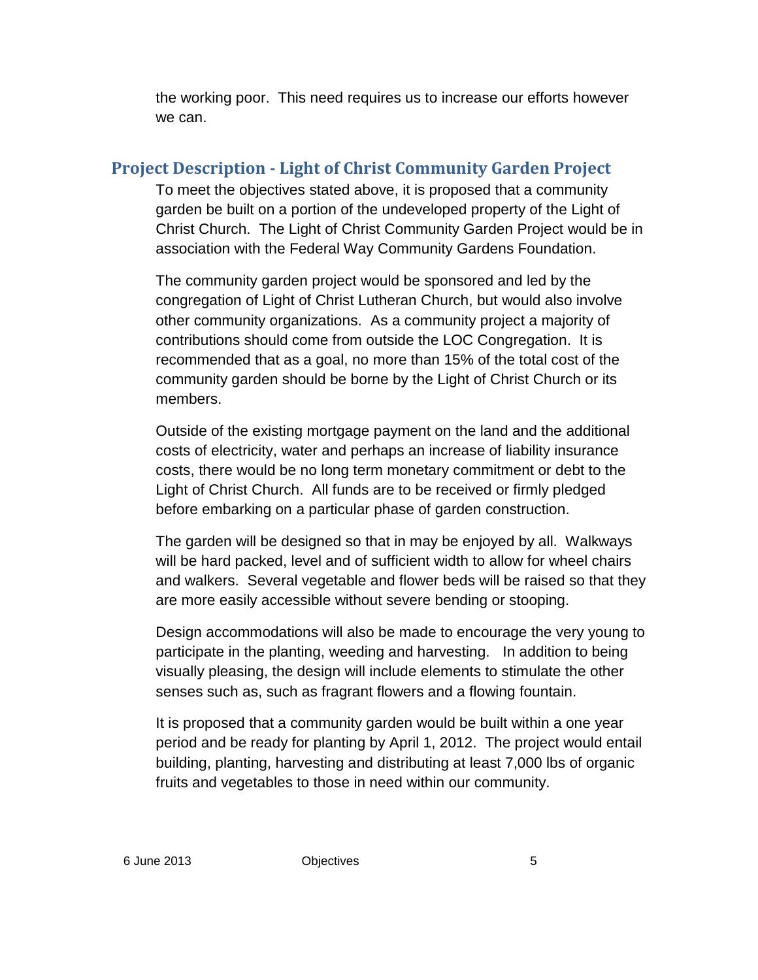the working poor. This need requires us to increase our efforts however we can.

## **Project Description - Light of Christ Community Garden Project**

To meet the objectives stated above, it is proposed that a community garden be built on a portion of the undeveloped property of the Light of Christ Church. The Light of Christ Community Garden Project would be in association with the Federal Way Community Gardens Foundation.

The community garden project would be sponsored and led by the congregation of Light of Christ Lutheran Church, but would also involve other community organizations. As a community project a majority of contributions should come from outside the LOC Congregation. It is recommended that as a goal, no more than 15% of the total cost of the community garden should be borne by the Light of Christ Church or its members.

Outside of the existing mortgage payment on the land and the additional costs of electricity, water and perhaps an increase of liability insurance costs, there would be no long term monetary commitment or debt to the Light of Christ Church. All funds are to be received or firmly pledged before embarking on a particular phase of garden construction.

The garden will be designed so that in may be enjoyed by all. Walkways will be hard packed, level and of sufficient width to allow for wheel chairs and walkers. Several vegetable and flower beds will be raised so that they are more easily accessible without severe bending or stooping.

Design accommodations will also be made to encourage the very young to participate in the planting, weeding and harvesting. In addition to being visually pleasing, the design will include elements to stimulate the other senses such as, such as fragrant flowers and a flowing fountain.

It is proposed that a community garden would be built within a one year period and be ready for planting by April 1, 2012. The project would entail building, planting, harvesting and distributing at least 7,000 lbs of organic fruits and vegetables to those in need within our community.